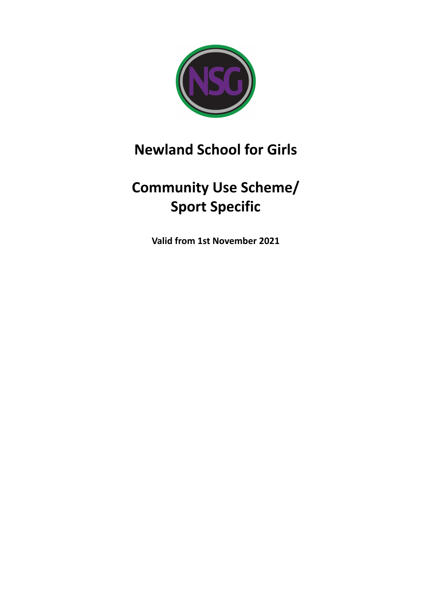

# **Newland School for Girls**

# **Community Use Scheme/ Sport Specific**

**Valid from 1st November 2021**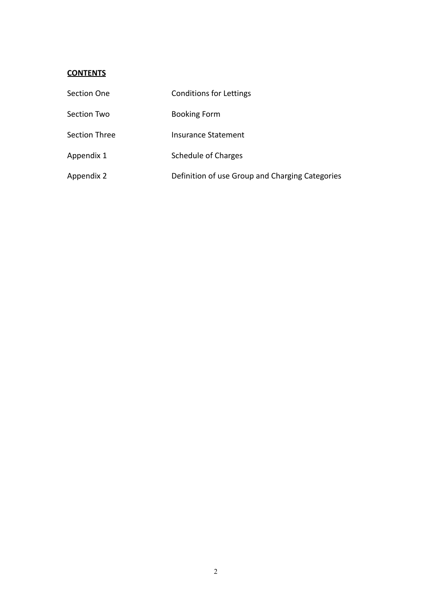## **CONTENTS**

| Section One   | <b>Conditions for Lettings</b>                  |
|---------------|-------------------------------------------------|
| Section Two   | <b>Booking Form</b>                             |
| Section Three | Insurance Statement                             |
| Appendix 1    | Schedule of Charges                             |
| Appendix 2    | Definition of use Group and Charging Categories |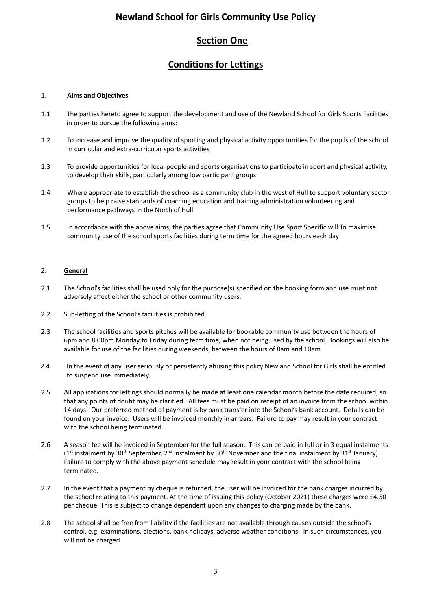## **Newland School for Girls Community Use Policy**

## **Section One**

## **Conditions for Lettings**

#### 1. **Aims and Objectives**

- 1.1 The parties hereto agree to support the development and use of the Newland School for Girls Sports Facilities in order to pursue the following aims:
- 1.2 To increase and improve the quality of sporting and physical activity opportunities for the pupils of the school in curricular and extra-curricular sports activities
- 1.3 To provide opportunities for local people and sports organisations to participate in sport and physical activity, to develop their skills, particularly among low participant groups
- 1.4 Where appropriate to establish the school as a community club in the west of Hull to support voluntary sector groups to help raise standards of coaching education and training administration volunteering and performance pathways in the North of Hull.
- 1.5 In accordance with the above aims, the parties agree that Community Use Sport Specific will To maximise community use of the school sports facilities during term time for the agreed hours each day

#### 2. **General**

- 2.1 The School's facilities shall be used only for the purpose(s) specified on the booking form and use must not adversely affect either the school or other community users.
- 2.2 Sub-letting of the School's facilities is prohibited.
- 2.3 The school facilities and sports pitches will be available for bookable community use between the hours of 6pm and 8.00pm Monday to Friday during term time, when not being used by the school. Bookings will also be available for use of the facilities during weekends, between the hours of 8am and 10am.
- 2.4 In the event of any user seriously or persistently abusing this policy Newland School for Girls shall be entitled to suspend use immediately.
- 2.5 All applications for lettings should normally be made at least one calendar month before the date required, so that any points of doubt may be clarified. All fees must be paid on receipt of an invoice from the school within 14 days. Our preferred method of payment is by bank transfer into the School's bank account. Details can be found on your invoice. Users will be invoiced monthly in arrears. Failure to pay may result in your contract with the school being terminated.
- 2.6 A season fee will be invoiced in September for the full season. This can be paid in full or in 3 equal instalments (1<sup>st</sup> instalment by 30<sup>th</sup> September, 2<sup>nd</sup> instalment by 30<sup>th</sup> November and the final instalment by 31<sup>st</sup> January). Failure to comply with the above payment schedule may result in your contract with the school being terminated.
- 2.7 In the event that a payment by cheque is returned, the user will be invoiced for the bank charges incurred by the school relating to this payment. At the time of issuing this policy (October 2021) these charges were £4.50 per cheque. This is subject to change dependent upon any changes to charging made by the bank.
- 2.8 The school shall be free from liability if the facilities are not available through causes outside the school's control, e.g. examinations, elections, bank holidays, adverse weather conditions. In such circumstances, you will not be charged.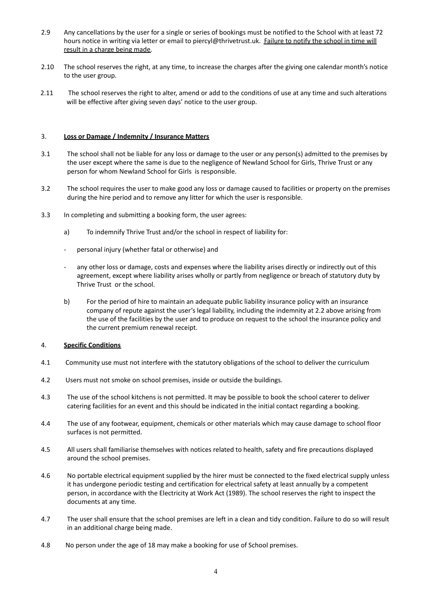- 2.9 Any cancellations by the user for a single or series of bookings must be notified to the School with at least 72 hours notice in writing via letter or email to piercyl@thrivetrust.uk. Failure to notify the school in time will result in a charge being made.
- 2.10 The school reserves the right, at any time, to increase the charges after the giving one calendar month's notice to the user group.
- 2.11 The school reserves the right to alter, amend or add to the conditions of use at any time and such alterations will be effective after giving seven days' notice to the user group.

#### 3. **Loss or Damage / Indemnity / Insurance Matters**

- 3.1 The school shall not be liable for any loss or damage to the user or any person(s) admitted to the premises by the user except where the same is due to the negligence of Newland School for Girls, Thrive Trust or any person for whom Newland School for Girls is responsible.
- 3.2 The school requires the user to make good any loss or damage caused to facilities or property on the premises during the hire period and to remove any litter for which the user is responsible.
- 3.3 In completing and submitting a booking form, the user agrees:
	- a) To indemnify Thrive Trust and/or the school in respect of liability for:
	- personal injury (whether fatal or otherwise) and
	- any other loss or damage, costs and expenses where the liability arises directly or indirectly out of this agreement, except where liability arises wholly or partly from negligence or breach of statutory duty by Thrive Trust or the school.
	- b) For the period of hire to maintain an adequate public liability insurance policy with an insurance company of repute against the user's legal liability, including the indemnity at 2.2 above arising from the use of the facilities by the user and to produce on request to the school the insurance policy and the current premium renewal receipt.

#### 4. **Specific Conditions**

- 4.1 Community use must not interfere with the statutory obligations of the school to deliver the curriculum
- 4.2 Users must not smoke on school premises, inside or outside the buildings.
- 4.3 The use of the school kitchens is not permitted. It may be possible to book the school caterer to deliver catering facilities for an event and this should be indicated in the initial contact regarding a booking.
- 4.4 The use of any footwear, equipment, chemicals or other materials which may cause damage to school floor surfaces is not permitted.
- 4.5 All users shall familiarise themselves with notices related to health, safety and fire precautions displayed around the school premises.
- 4.6 No portable electrical equipment supplied by the hirer must be connected to the fixed electrical supply unless it has undergone periodic testing and certification for electrical safety at least annually by a competent person, in accordance with the Electricity at Work Act (1989). The school reserves the right to inspect the documents at any time.
- 4.7 The user shall ensure that the school premises are left in a clean and tidy condition. Failure to do so will result in an additional charge being made.
- 4.8 No person under the age of 18 may make a booking for use of School premises.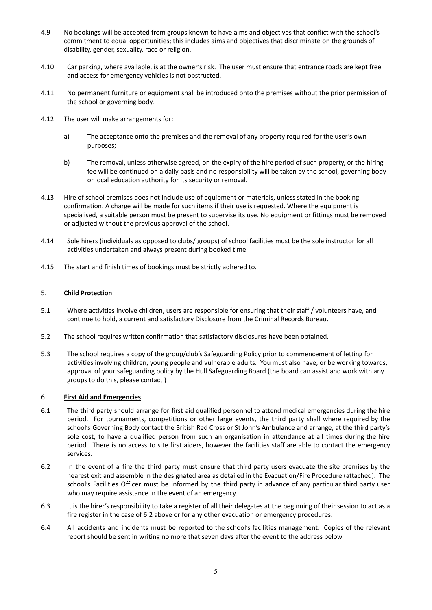- 4.9 No bookings will be accepted from groups known to have aims and objectives that conflict with the school's commitment to equal opportunities; this includes aims and objectives that discriminate on the grounds of disability, gender, sexuality, race or religion.
- 4.10 Car parking, where available, is at the owner's risk. The user must ensure that entrance roads are kept free and access for emergency vehicles is not obstructed.
- 4.11 No permanent furniture or equipment shall be introduced onto the premises without the prior permission of the school or governing body.
- 4.12 The user will make arrangements for:
	- a) The acceptance onto the premises and the removal of any property required for the user's own purposes;
	- b) The removal, unless otherwise agreed, on the expiry of the hire period of such property, or the hiring fee will be continued on a daily basis and no responsibility will be taken by the school, governing body or local education authority for its security or removal.
- 4.13 Hire of school premises does not include use of equipment or materials, unless stated in the booking confirmation. A charge will be made for such items if their use is requested. Where the equipment is specialised, a suitable person must be present to supervise its use. No equipment or fittings must be removed or adjusted without the previous approval of the school.
- 4.14 Sole hirers (individuals as opposed to clubs/ groups) of school facilities must be the sole instructor for all activities undertaken and always present during booked time.
- 4.15 The start and finish times of bookings must be strictly adhered to.

#### 5. **Child Protection**

- 5.1 Where activities involve children, users are responsible for ensuring that their staff / volunteers have, and continue to hold, a current and satisfactory Disclosure from the Criminal Records Bureau.
- 5.2 The school requires written confirmation that satisfactory disclosures have been obtained.
- 5.3 The school requires a copy of the group/club's Safeguarding Policy prior to commencement of letting for activities involving children, young people and vulnerable adults. You must also have, or be working towards, approval of your safeguarding policy by the Hull Safeguarding Board (the board can assist and work with any groups to do this, please contact )

#### 6 **First Aid and Emergencies**

- 6.1 The third party should arrange for first aid qualified personnel to attend medical emergencies during the hire period. For tournaments, competitions or other large events, the third party shall where required by the school's Governing Body contact the British Red Cross or St John's Ambulance and arrange, at the third party's sole cost, to have a qualified person from such an organisation in attendance at all times during the hire period. There is no access to site first aiders, however the facilities staff are able to contact the emergency services.
- 6.2 In the event of a fire the third party must ensure that third party users evacuate the site premises by the nearest exit and assemble in the designated area as detailed in the Evacuation/Fire Procedure (attached). The school's Facilities Officer must be informed by the third party in advance of any particular third party user who may require assistance in the event of an emergency.
- 6.3 It is the hirer's responsibility to take a register of all their delegates at the beginning of their session to act as a fire register in the case of 6.2 above or for any other evacuation or emergency procedures.
- 6.4 All accidents and incidents must be reported to the school's facilities management. Copies of the relevant report should be sent in writing no more that seven days after the event to the address below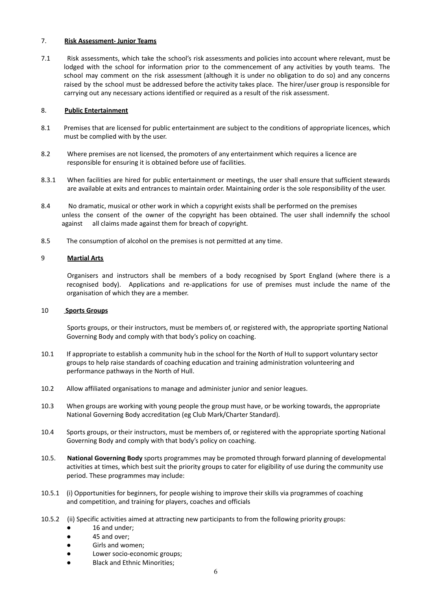#### 7. **Risk Assessment- Junior Teams**

7.1 Risk assessments, which take the school's risk assessments and policies into account where relevant, must be lodged with the school for information prior to the commencement of any activities by youth teams. The school may comment on the risk assessment (although it is under no obligation to do so) and any concerns raised by the school must be addressed before the activity takes place. The hirer/user group is responsible for carrying out any necessary actions identified or required as a result of the risk assessment.

#### 8. **Public Entertainment**

- 8.1 Premises that are licensed for public entertainment are subject to the conditions of appropriate licences, which must be complied with by the user.
- 8.2 Where premises are not licensed, the promoters of any entertainment which requires a licence are responsible for ensuring it is obtained before use of facilities.
- 8.3.1 When facilities are hired for public entertainment or meetings, the user shall ensure that sufficient stewards are available at exits and entrances to maintain order. Maintaining order is the sole responsibility of the user.
- 8.4 No dramatic, musical or other work in which a copyright exists shall be performed on the premises unless the consent of the owner of the copyright has been obtained. The user shall indemnify the school against all claims made against them for breach of copyright.
- 8.5 The consumption of alcohol on the premises is not permitted at any time.

#### 9 **Martial Arts**

Organisers and instructors shall be members of a body recognised by Sport England (where there is a recognised body). Applications and re-applications for use of premises must include the name of the organisation of which they are a member.

#### 10 **Sports Groups**

Sports groups, or their instructors, must be members of, or registered with, the appropriate sporting National Governing Body and comply with that body's policy on coaching.

- 10.1 If appropriate to establish a community hub in the school for the North of Hull to support voluntary sector groups to help raise standards of coaching education and training administration volunteering and performance pathways in the North of Hull.
- 10.2 Allow affiliated organisations to manage and administer junior and senior leagues.
- 10.3 When groups are working with young people the group must have, or be working towards, the appropriate National Governing Body accreditation (eg Club Mark/Charter Standard).
- 10.4 Sports groups, or their instructors, must be members of, or registered with the appropriate sporting National Governing Body and comply with that body's policy on coaching.
- 10.5. **National Governing Body** sports programmes may be promoted through forward planning of developmental activities at times, which best suit the priority groups to cater for eligibility of use during the community use period. These programmes may include:
- 10.5.1 (i) Opportunities for beginners, for people wishing to improve their skills via programmes of coaching and competition, and training for players, coaches and officials
- 10.5.2 (ii) Specific activities aimed at attracting new participants to from the following priority groups:
	- 16 and under;
	- 45 and over;
	- Girls and women;
	- Lower socio-economic groups;
	- **Black and Ethnic Minorities;**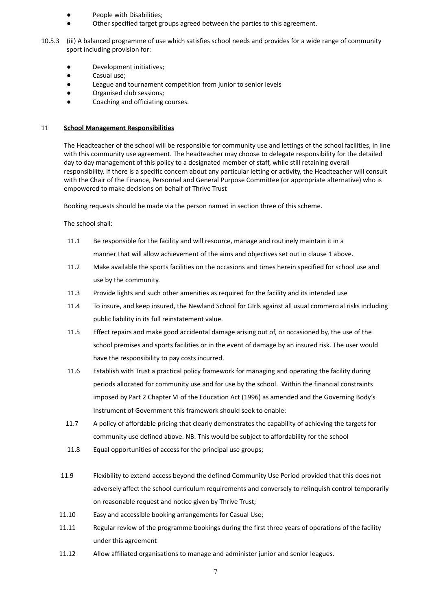- People with Disabilities;
- Other specified target groups agreed between the parties to this agreement.
- 10.5.3 (iii) A balanced programme of use which satisfies school needs and provides for a wide range of community sport including provision for:
	- Development initiatives;
	- Casual use;
	- League and tournament competition from junior to senior levels
	- Organised club sessions;
	- Coaching and officiating courses.

#### 11 **School Management Responsibilities**

The Headteacher of the school will be responsible for community use and lettings of the school facilities, in line with this community use agreement. The headteacher may choose to delegate responsibility for the detailed day to day management of this policy to a designated member of staff, while still retaining overall responsibility. If there is a specific concern about any particular letting or activity, the Headteacher will consult with the Chair of the Finance, Personnel and General Purpose Committee (or appropriate alternative) who is empowered to make decisions on behalf of Thrive Trust

Booking requests should be made via the person named in section three of this scheme.

The school shall:

- 11.1 Be responsible for the facility and will resource, manage and routinely maintain it in a manner that will allow achievement of the aims and objectives set out in clause 1 above.
- 11.2 Make available the sports facilities on the occasions and times herein specified for school use and use by the community.
- 11.3 Provide lights and such other amenities as required for the facility and its intended use
- 11.4 To insure, and keep insured, the Newland School for GIrls against all usual commercial risks including public liability in its full reinstatement value.
- 11.5 Effect repairs and make good accidental damage arising out of, or occasioned by, the use of the school premises and sports facilities or in the event of damage by an insured risk. The user would have the responsibility to pay costs incurred.
- 11.6 Establish with Trust a practical policy framework for managing and operating the facility during periods allocated for community use and for use by the school. Within the financial constraints imposed by Part 2 Chapter VI of the Education Act (1996) as amended and the Governing Body's Instrument of Government this framework should seek to enable:
- 11.7 A policy of affordable pricing that clearly demonstrates the capability of achieving the targets for community use defined above. NB. This would be subject to affordability for the school
- 11.8 Equal opportunities of access for the principal use groups;
- 11.9 Flexibility to extend access beyond the defined Community Use Period provided that this does not adversely affect the school curriculum requirements and conversely to relinquish control temporarily on reasonable request and notice given by Thrive Trust;
- 11.10 Easy and accessible booking arrangements for Casual Use;
- 11.11 Regular review of the programme bookings during the first three years of operations of the facility under this agreement
- 11.12 Allow affiliated organisations to manage and administer junior and senior leagues.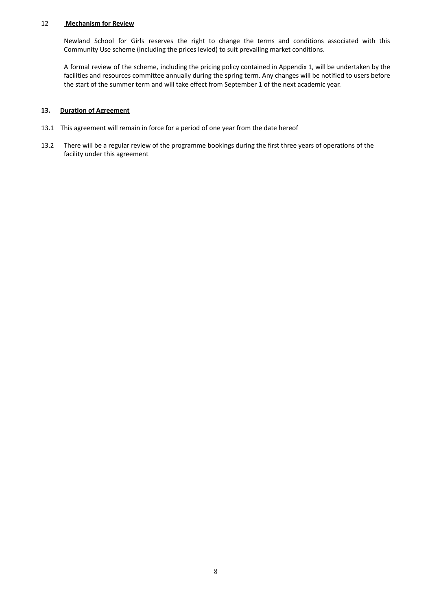#### 12 **Mechanism for Review**

Newland School for Girls reserves the right to change the terms and conditions associated with this Community Use scheme (including the prices levied) to suit prevailing market conditions.

A formal review of the scheme, including the pricing policy contained in Appendix 1, will be undertaken by the facilities and resources committee annually during the spring term. Any changes will be notified to users before the start of the summer term and will take effect from September 1 of the next academic year.

#### **13. Duration of Agreement**

- 13.1 This agreement will remain in force for a period of one year from the date hereof
- 13.2 There will be a regular review of the programme bookings during the first three years of operations of the facility under this agreement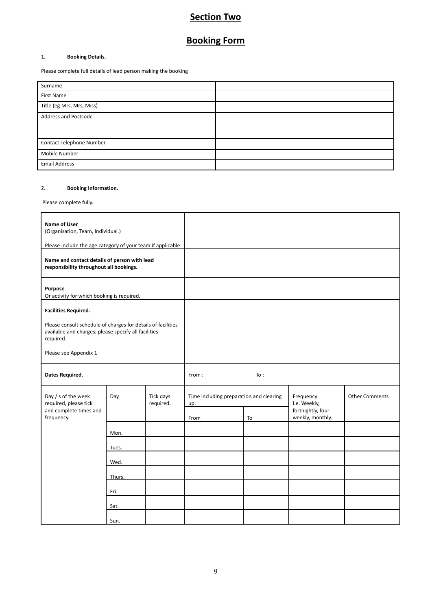## **Section Two**

## **Booking Form**

#### 1. **Booking Details.**

Please complete full details of lead person making the booking

| Surname                     |  |
|-----------------------------|--|
| First Name                  |  |
| Title (eg Mrs, Mrs, Miss)   |  |
| <b>Address and Postcode</b> |  |
|                             |  |
| Contact Telephone Number    |  |
| Mobile Number               |  |
| <b>Email Address</b>        |  |

#### 2. **Booking Information.**

Please complete fully.

| <b>Name of User</b><br>(Organisation, Team, Individual.)<br>Please include the age category of your team if applicable                                                                    |        |                        |                                                        |     |                                                                    |                       |
|-------------------------------------------------------------------------------------------------------------------------------------------------------------------------------------------|--------|------------------------|--------------------------------------------------------|-----|--------------------------------------------------------------------|-----------------------|
| Name and contact details of person with lead<br>responsibility throughout all bookings.                                                                                                   |        |                        |                                                        |     |                                                                    |                       |
| Purpose<br>Or activity for which booking is required.                                                                                                                                     |        |                        |                                                        |     |                                                                    |                       |
| <b>Facilities Required.</b><br>Please consult schedule of charges for details of facilities<br>available and charges; please specify all facilities<br>required.<br>Please see Appendix 1 |        |                        |                                                        |     |                                                                    |                       |
| Dates Required.                                                                                                                                                                           |        |                        | From:                                                  | To: |                                                                    |                       |
| Day / s of the week<br>required, please tick<br>and complete times and<br>frequency.                                                                                                      | Day    | Tick days<br>required. | Time including preparation and clearing<br>up.<br>From | To  | Frequency<br>I.e. Weekly,<br>fortnightly, four<br>weekly, monthly. | <b>Other Comments</b> |
|                                                                                                                                                                                           | Mon.   |                        |                                                        |     |                                                                    |                       |
|                                                                                                                                                                                           | Tues.  |                        |                                                        |     |                                                                    |                       |
|                                                                                                                                                                                           | Wed.   |                        |                                                        |     |                                                                    |                       |
|                                                                                                                                                                                           | Thurs. |                        |                                                        |     |                                                                    |                       |
|                                                                                                                                                                                           | Fri.   |                        |                                                        |     |                                                                    |                       |
|                                                                                                                                                                                           | Sat.   |                        |                                                        |     |                                                                    |                       |
|                                                                                                                                                                                           | Sun.   |                        |                                                        |     |                                                                    |                       |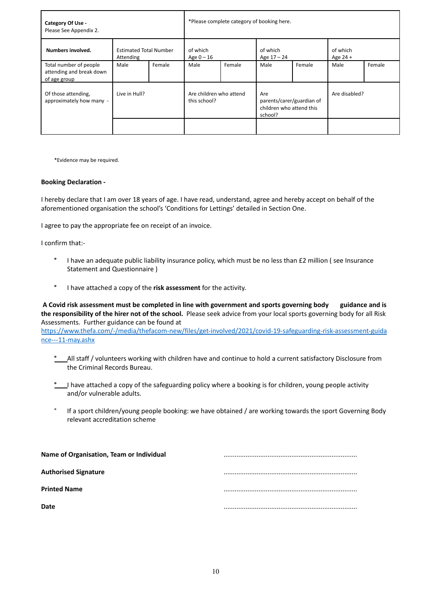| Category Of Use -<br>Please See Appendix 2.                        |                                            | *Please complete category of booking here. |                                         |        |                                                                         |        |                        |        |
|--------------------------------------------------------------------|--------------------------------------------|--------------------------------------------|-----------------------------------------|--------|-------------------------------------------------------------------------|--------|------------------------|--------|
| Numbers involved.                                                  | <b>Estimated Total Number</b><br>Attending | of which<br>Age $0 - 16$                   |                                         |        | of which<br>Age 17 - 24                                                 |        | of which<br>Age $24 +$ |        |
| Total number of people<br>attending and break down<br>of age group | Male                                       | Female                                     | Male                                    | Female | Male                                                                    | Female | Male                   | Female |
| Of those attending,<br>approximately how many -                    | Live in Hull?                              |                                            | Are children who attend<br>this school? |        | Are<br>parents/carer/guardian of<br>children who attend this<br>school? |        | Are disabled?          |        |
|                                                                    |                                            |                                            |                                         |        |                                                                         |        |                        |        |

\*Evidence may be required.

#### **Booking Declaration -**

I hereby declare that I am over 18 years of age. I have read, understand, agree and hereby accept on behalf of the aforementioned organisation the school's 'Conditions for Lettings' detailed in Section One.

I agree to pay the appropriate fee on receipt of an invoice.

I confirm that:-

- **°** I have an adequate public liability insurance policy, which must be no less than £2 million ( see Insurance Statement and Questionnaire )
- **°** I have attached a copy of the **risk assessment** for the activity.

A Covid risk assessment must be completed in line with government and sports governing body guidance and is **the responsibility of the hirer not of the school.** Please seek advice from your local sports governing body for all Risk Assessments. Further guidance can be found a[t](https://www.thefa.com/-/media/thefacom-new/files/get-involved/2021/covid-19-safeguarding-risk-assessment-guidance---11-may.ashx)

[https://www.thefa.com/-/media/thefacom-new/files/get-involved/2021/covid-19-safeguarding-risk-assessment-guida](https://www.thefa.com/-/media/thefacom-new/files/get-involved/2021/covid-19-safeguarding-risk-assessment-guidance---11-may.ashx) [nce---11-may.ashx](https://www.thefa.com/-/media/thefacom-new/files/get-involved/2021/covid-19-safeguarding-risk-assessment-guidance---11-may.ashx)

- **°** All staff / volunteers working with children have and continue to hold a current satisfactory Disclosure from the Criminal Records Bureau.
- **°** I have attached a copy of the safeguarding policy where a booking is for children, young people activity and/or vulnerable adults.
- ° If a sport children/young people booking: we have obtained / are working towards the sport Governing Body relevant accreditation scheme

| Name of Organisation, Team or Individual |  |
|------------------------------------------|--|
| <b>Authorised Signature</b>              |  |
| <b>Printed Name</b>                      |  |
| <b>Date</b>                              |  |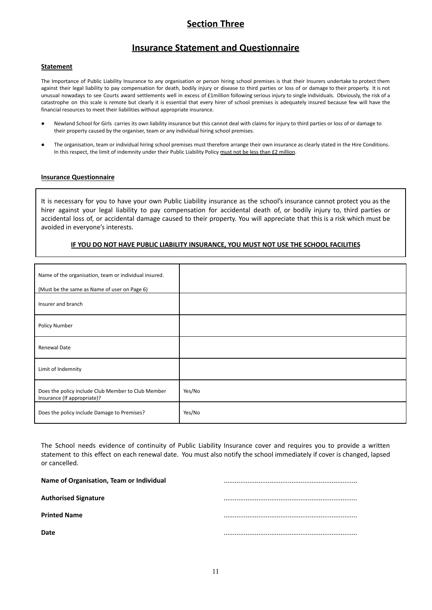## **Section Three**

### **Insurance Statement and Questionnaire**

#### **Statement**

The Importance of Public Liability Insurance to any organisation or person hiring school premises is that their Insurers undertake to protect them against their legal liability to pay compensation for death, bodily injury or disease to third parties or loss of or damage to their property. It is not unusual nowadays to see Courts award settlements well in excess of £1million following serious injury to single individuals. Obviously, the risk of a catastrophe on this scale is remote but clearly it is essential that every hirer of school premises is adequately insured because few will have the financial resources to meet their liabilities without appropriate insurance.

- Newland School for Girls carries its own liability insurance but this cannot deal with claims for injury to third parties or loss of or damage to their property caused by the organiser, team or any individual hiring school premises.
- The organisation, team or individual hiring school premises must therefore arrange their own insurance as clearly stated in the Hire Conditions. In this respect, the limit of indemnity under their Public Liability Policy must not be less than £2 million.

#### **Insurance Questionnaire**

It is necessary for you to have your own Public Liability insurance as the school's insurance cannot protect you as the hirer against your legal liability to pay compensation for accidental death of, or bodily injury to, third parties or accidental loss of, or accidental damage caused to their property. You will appreciate that this is a risk which must be avoided in everyone's interests.

#### **IF YOU DO NOT HAVE PUBLIC LIABILITY INSURANCE, YOU MUST NOT USE THE SCHOOL FACILITIES**

| Name of the organisation, team or individual insured.<br>(Must be the same as Name of user on Page 6) |        |
|-------------------------------------------------------------------------------------------------------|--------|
| Insurer and branch                                                                                    |        |
| Policy Number                                                                                         |        |
| Renewal Date                                                                                          |        |
| Limit of Indemnity                                                                                    |        |
| Does the policy include Club Member to Club Member<br>Insurance (If appropriate)?                     | Yes/No |
| Does the policy include Damage to Premises?                                                           | Yes/No |

The School needs evidence of continuity of Public Liability Insurance cover and requires you to provide a written statement to this effect on each renewal date. You must also notify the school immediately if cover is changed, lapsed or cancelled.

| Name of Organisation, Team or Individual |  |
|------------------------------------------|--|
| <b>Authorised Signature</b>              |  |
| <b>Printed Name</b>                      |  |
| Date                                     |  |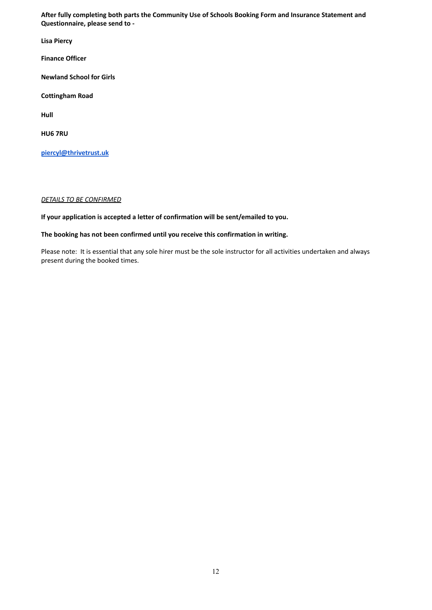**After fully completing both parts the Community Use of Schools Booking Form and Insurance Statement and Questionnaire, please send to -**

**Lisa Piercy**

**Finance Officer**

**Newland School for Girls**

**Cottingham Road**

**Hull**

**HU6 7RU**

**[piercyl@thrivetrust.uk](mailto:piercyl@thrivetrust.uk)**

#### *DETAILS TO BE CONFIRMED*

**If your application is accepted a letter of confirmation will be sent/emailed to you.**

#### **The booking has not been confirmed until you receive this confirmation in writing.**

Please note: It is essential that any sole hirer must be the sole instructor for all activities undertaken and always present during the booked times.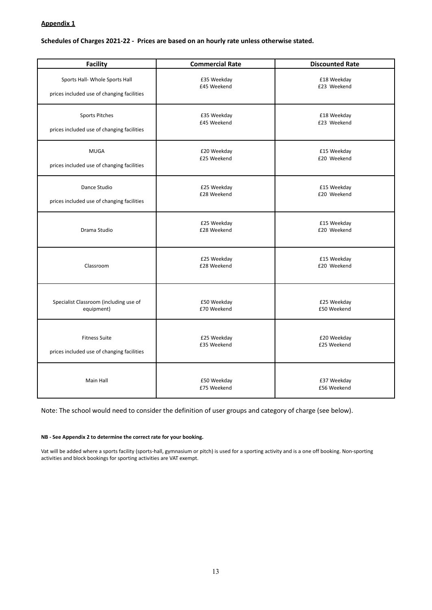#### **Appendix 1**

#### **Schedules of Charges 2021-22 - Prices are based on an hourly rate unless otherwise stated.**

| <b>Facility</b>                            | <b>Commercial Rate</b>     | <b>Discounted Rate</b>     |
|--------------------------------------------|----------------------------|----------------------------|
| Sports Hall- Whole Sports Hall             | £35 Weekday                | £18 Weekday                |
| prices included use of changing facilities | £45 Weekend                | £23 Weekend                |
| Sports Pitches                             | £35 Weekday                | £18 Weekday                |
| prices included use of changing facilities | £45 Weekend                | £23 Weekend                |
| <b>MUGA</b>                                | £20 Weekday                | £15 Weekday                |
| prices included use of changing facilities | £25 Weekend                | £20 Weekend                |
| Dance Studio                               | £25 Weekday                | £15 Weekday                |
| prices included use of changing facilities | £28 Weekend                | £20 Weekend                |
| Drama Studio                               | £25 Weekday<br>£28 Weekend | £15 Weekday<br>£20 Weekend |
| Classroom                                  | £25 Weekday<br>£28 Weekend | £15 Weekday<br>£20 Weekend |
| Specialist Classroom (including use of     | £50 Weekday                | £25 Weekday                |
| equipment)                                 | £70 Weekend                | £50 Weekend                |
| <b>Fitness Suite</b>                       | £25 Weekday                | £20 Weekday                |
| prices included use of changing facilities | £35 Weekend                | £25 Weekend                |
| Main Hall                                  | £50 Weekday<br>£75 Weekend | £37 Weekday<br>£56 Weekend |

Note: The school would need to consider the definition of user groups and category of charge (see below).

#### **NB - See Appendix 2 to determine the correct rate for your booking.**

Vat will be added where a sports facility (sports-hall, gymnasium or pitch) is used for a sporting activity and is a one off booking. Non-sporting activities and block bookings for sporting activities are VAT exempt.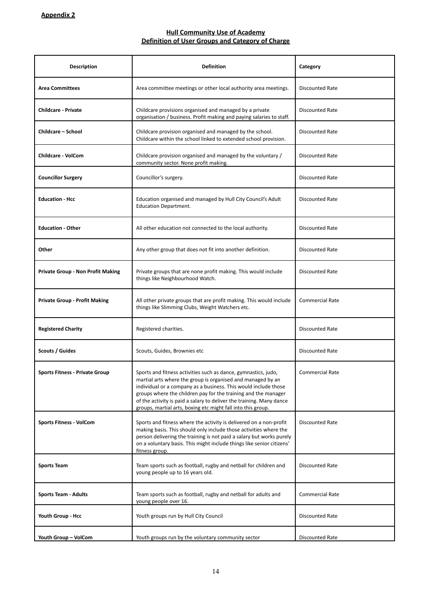#### **Hull Community Use of Academy Definition of User Groups and Category of Charge**

| <b>Description</b>                       | <b>Definition</b>                                                                                                                                                                                                                                                                                                                                                                                          | Category               |
|------------------------------------------|------------------------------------------------------------------------------------------------------------------------------------------------------------------------------------------------------------------------------------------------------------------------------------------------------------------------------------------------------------------------------------------------------------|------------------------|
| <b>Area Committees</b>                   | Area committee meetings or other local authority area meetings.                                                                                                                                                                                                                                                                                                                                            | <b>Discounted Rate</b> |
| <b>Childcare - Private</b>               | Childcare provisions organised and managed by a private<br>organisation / business. Profit making and paying salaries to staff.                                                                                                                                                                                                                                                                            | <b>Discounted Rate</b> |
| <b>Childcare - School</b>                | Childcare provision organised and managed by the school.<br>Childcare within the school linked to extended school provision.                                                                                                                                                                                                                                                                               | <b>Discounted Rate</b> |
| <b>Childcare - VolCom</b>                | Childcare provision organised and managed by the voluntary /<br>community sector. None profit making.                                                                                                                                                                                                                                                                                                      | <b>Discounted Rate</b> |
| <b>Councillor Surgery</b>                | Councillor's surgery.                                                                                                                                                                                                                                                                                                                                                                                      | Discounted Rate        |
| <b>Education - Hcc</b>                   | Education organised and managed by Hull City Council's Adult<br><b>Education Department.</b>                                                                                                                                                                                                                                                                                                               | Discounted Rate        |
| <b>Education - Other</b>                 | All other education not connected to the local authority.                                                                                                                                                                                                                                                                                                                                                  | <b>Discounted Rate</b> |
| Other                                    | Any other group that does not fit into another definition.                                                                                                                                                                                                                                                                                                                                                 | <b>Discounted Rate</b> |
| <b>Private Group - Non Profit Making</b> | Private groups that are none profit making. This would include<br>things like Neighbourhood Watch.                                                                                                                                                                                                                                                                                                         | <b>Discounted Rate</b> |
| <b>Private Group - Profit Making</b>     | All other private groups that are profit making. This would include<br>things like Slimming Clubs, Weight Watchers etc.                                                                                                                                                                                                                                                                                    | <b>Commercial Rate</b> |
| <b>Registered Charity</b>                | Registered charities.                                                                                                                                                                                                                                                                                                                                                                                      | <b>Discounted Rate</b> |
| <b>Scouts / Guides</b>                   | Scouts, Guides, Brownies etc                                                                                                                                                                                                                                                                                                                                                                               | <b>Discounted Rate</b> |
| <b>Sports Fitness - Private Group</b>    | Sports and fitness activities such as dance, gymnastics, judo,<br>martial arts where the group is organised and managed by an<br>individual or a company as a business. This would include those<br>groups where the children pay for the training and the manager<br>of the activity is paid a salary to deliver the training. Many dance<br>groups, martial arts, boxing etc might fall into this group. | <b>Commercial Rate</b> |
| <b>Sports Fitness - VolCom</b>           | Sports and fitness where the activity is delivered on a non-profit<br>making basis. This should only include those activities where the<br>person delivering the training is not paid a salary but works purely<br>on a voluntary basis. This might include things like senior citizens'<br>fitness group.                                                                                                 | <b>Discounted Rate</b> |
| <b>Sports Team</b>                       | Team sports such as football, rugby and netball for children and<br>young people up to 16 years old.                                                                                                                                                                                                                                                                                                       | <b>Discounted Rate</b> |
| <b>Sports Team - Adults</b>              | Team sports such as football, rugby and netball for adults and<br>young people over 16.                                                                                                                                                                                                                                                                                                                    | <b>Commercial Rate</b> |
| Youth Group - Hcc                        | Youth groups run by Hull City Council                                                                                                                                                                                                                                                                                                                                                                      | <b>Discounted Rate</b> |
| Youth Group - VolCom                     | Youth groups run by the voluntary community sector                                                                                                                                                                                                                                                                                                                                                         | <b>Discounted Rate</b> |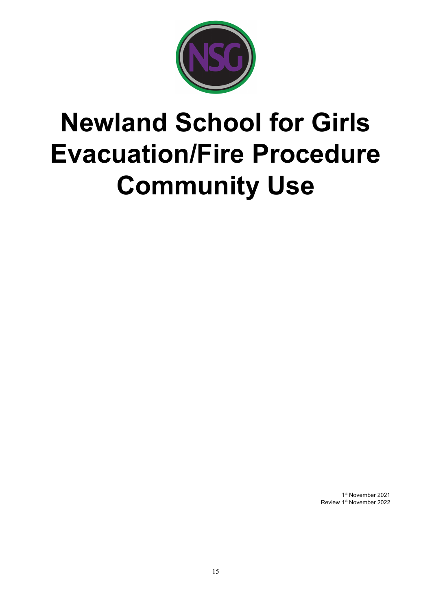

# **Newland School for Girls Evacuation/Fire Procedure Community Use**

1st November 2021 Review 1<sup>st</sup> November 2022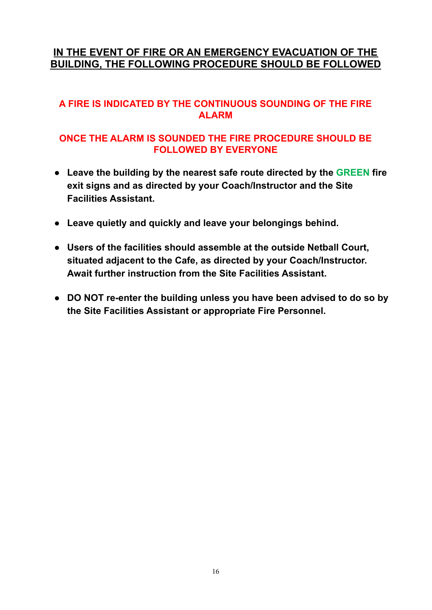## **IN THE EVENT OF FIRE OR AN EMERGENCY EVACUATION OF THE BUILDING, THE FOLLOWING PROCEDURE SHOULD BE FOLLOWED**

## **A FIRE IS INDICATED BY THE CONTINUOUS SOUNDING OF THE FIRE ALARM**

## **ONCE THE ALARM IS SOUNDED THE FIRE PROCEDURE SHOULD BE FOLLOWED BY EVERYONE**

- **Leave the building by the nearest safe route directed by the GREEN fire exit signs and as directed by your Coach/Instructor and the Site Facilities Assistant.**
- **Leave quietly and quickly and leave your belongings behind.**
- **Users of the facilities should assemble at the outside Netball Court, situated adjacent to the Cafe, as directed by your Coach/Instructor. Await further instruction from the Site Facilities Assistant.**
- **DO NOT re-enter the building unless you have been advised to do so by the Site Facilities Assistant or appropriate Fire Personnel.**